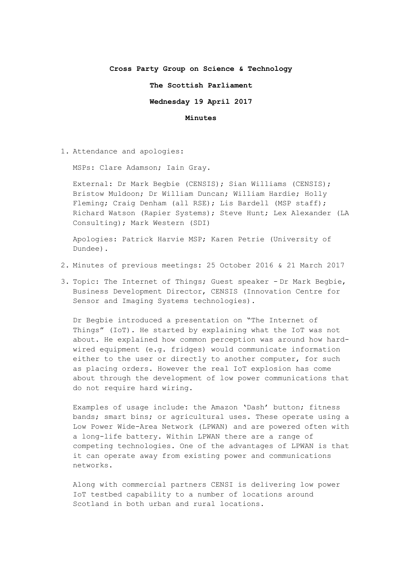## **Cross Party Group on Science & Technology**

**The Scottish Parliament**

**Wednesday 19 April 2017**

## **Minutes**

1. Attendance and apologies:

MSPs: Clare Adamson; Iain Gray.

External: Dr Mark Begbie (CENSIS); Sian Williams (CENSIS); Bristow Muldoon; Dr William Duncan; William Hardie; Holly Fleming; Craig Denham (all RSE); Lis Bardell (MSP staff); Richard Watson (Rapier Systems); Steve Hunt; Lex Alexander (LA Consulting); Mark Western (SDI)

Apologies: Patrick Harvie MSP; Karen Petrie (University of Dundee).

- 2. Minutes of previous meetings: 25 October 2016 & 21 March 2017
- 3. Topic: The Internet of Things; Guest speaker Dr Mark Begbie, Business Development Director, CENSIS (Innovation Centre for Sensor and Imaging Systems technologies).

Dr Begbie introduced a presentation on "The Internet of Things" (IoT). He started by explaining what the IoT was not about. He explained how common perception was around how hardwired equipment (e.g. fridges) would communicate information either to the user or directly to another computer, for such as placing orders. However the real IoT explosion has come about through the development of low power communications that do not require hard wiring.

Examples of usage include: the Amazon 'Dash' button; fitness bands; smart bins; or agricultural uses. These operate using a Low Power Wide-Area Network (LPWAN) and are powered often with a long-life battery. Within LPWAN there are a range of competing technologies. One of the advantages of LPWAN is that it can operate away from existing power and communications networks.

Along with commercial partners CENSI is delivering low power IoT testbed capability to a number of locations around Scotland in both urban and rural locations.